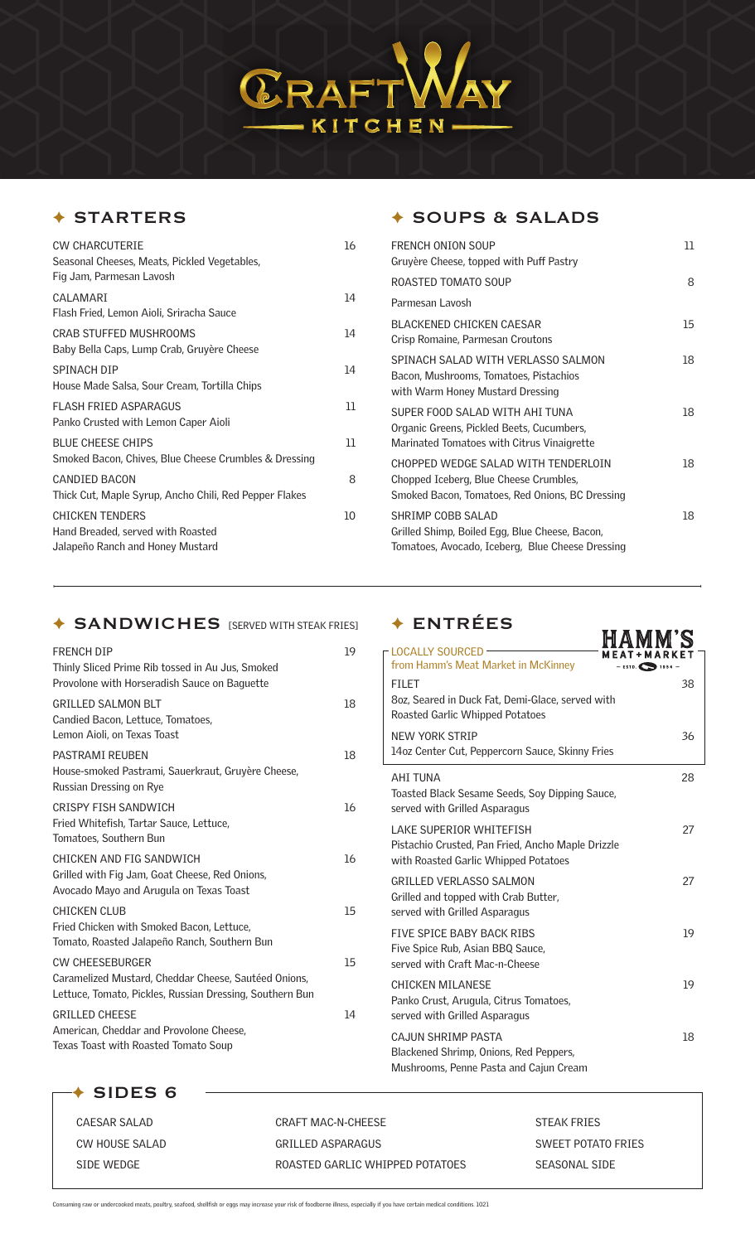

## ✦ STARTERS

| CW CHARCUTFRIF<br>Seasonal Cheeses, Meats, Pickled Vegetables,<br>Fig Jam, Parmesan Lavosh      | 16 |
|-------------------------------------------------------------------------------------------------|----|
| CAI AMARI<br>Flash Fried, Lemon Aioli, Sriracha Sauce                                           | 14 |
| CRAB STUFFED MUSHROOMS<br>Baby Bella Caps, Lump Crab, Gruyère Cheese                            | 14 |
| SPINACH DIP<br>House Made Salsa, Sour Cream, Tortilla Chips                                     | 14 |
| FLASH FRIFD ASPARAGUS<br>Panko Crusted with Lemon Caper Aioli                                   | 11 |
| <b>BLUE CHEESE CHIPS</b><br>Smoked Bacon, Chives, Blue Cheese Crumbles & Dressing               | 11 |
| <b>CANDIED BACON</b><br>Thick Cut, Maple Syrup, Ancho Chili, Red Pepper Flakes                  | 8  |
| <b>CHICKEN TENDERS</b><br>Hand Breaded, served with Roasted<br>Jalapeño Ranch and Honey Mustard | 10 |

# ✦ SANDWICHES [SERVED WITH STEAK FRIES] ✦ ENTRÉES

| <b>FRENCH DIP</b><br>Thinly Sliced Prime Rib tossed in Au Jus, Smoked<br>Provolone with Horseradish Sauce on Baguette                      | 19 |
|--------------------------------------------------------------------------------------------------------------------------------------------|----|
| <b>GRILLED SALMON BLT</b><br>Candied Bacon, Lettuce, Tomatoes,<br>Lemon Aioli, on Texas Toast                                              | 18 |
| <b>PASTRAMI REUBEN</b><br>House-smoked Pastrami, Sauerkraut, Gruyère Cheese,<br>Russian Dressing on Rye                                    | 18 |
| CRISPY FISH SANDWICH<br>Fried Whitefish, Tartar Sauce, Lettuce,<br>Tomatoes, Southern Bun                                                  | 16 |
| CHICKEN AND FIG SANDWICH<br>Grilled with Fig Jam, Goat Cheese, Red Onions,<br>Avocado Mayo and Arugula on Texas Toast                      | 16 |
| <b>CHICKEN CLUB</b><br>Fried Chicken with Smoked Bacon, Lettuce,<br>Tomato, Roasted Jalapeño Ranch, Southern Bun                           | 15 |
| <b>CW CHEESEBURGER</b><br>Caramelized Mustard, Cheddar Cheese, Sautéed Onions,<br>Lettuce, Tomato, Pickles, Russian Dressing, Southern Bun | 15 |
| <b>GRILLED CHEESE</b><br>American, Cheddar and Provolone Cheese,<br>Texas Toast with Roasted Tomato Soup                                   | 14 |

# ✦ SOUPS & SALADS

| <b>FRENCH ONTON SOUP</b><br>Gruyère Cheese, topped with Puff Pastry                                                              | וו |
|----------------------------------------------------------------------------------------------------------------------------------|----|
| ROASTED TOMATO SOUP                                                                                                              | 8  |
| Parmesan Lavosh                                                                                                                  |    |
| BLACKENED CHICKEN CAESAR<br>Crisp Romaine, Parmesan Croutons                                                                     | 15 |
| SPINACH SALAD WITH VERLASSO SALMON<br>Bacon, Mushrooms, Tomatoes, Pistachios<br>with Warm Honey Mustard Dressing                 | 18 |
| SUPER FOOD SALAD WITH AHI TUNA<br>Organic Greens, Pickled Beets, Cucumbers,<br>Marinated Tomatoes with Citrus Vinaigrette        | 18 |
| CHOPPED WEDGE SALAD WITH TENDERLOIN<br>Chopped Iceberg, Blue Cheese Crumbles,<br>Smoked Bacon, Tomatoes, Red Onions, BC Dressing | 18 |
| SHRIMP COBB SALAD<br>Grilled Shimp, Boiled Egg, Blue Cheese, Bacon,<br>Tomatoes, Avocado, Iceberg, Blue Cheese Dressing          | 18 |

| ENINEES                                                                                                               |                            |
|-----------------------------------------------------------------------------------------------------------------------|----------------------------|
| <b>LOCALLY SOURCED</b><br>from Hamm's Meat Market in McKinney                                                         | $-$ ESTD. $\bullet$ 1954 - |
| <b>FILET</b><br>8oz, Seared in Duck Fat, Demi-Glace, served with<br>Roasted Garlic Whipped Potatoes                   | 38                         |
| NEW YORK STRIP<br>14oz Center Cut, Peppercorn Sauce, Skinny Fries                                                     | 36                         |
| <b>AHI TUNA</b><br>Toasted Black Sesame Seeds, Soy Dipping Sauce,<br>served with Grilled Asparagus                    | 28                         |
| I AKE SUPERIOR WHITEFISH<br>Pistachio Crusted, Pan Fried, Ancho Maple Drizzle<br>with Roasted Garlic Whipped Potatoes | 27                         |
| <b>GRILLED VERLASSO SALMON</b><br>Grilled and topped with Crab Butter,<br>served with Grilled Asparagus               | 27                         |
| FIVE SPICE BABY BACK RIBS<br>Five Spice Rub, Asian BBQ Sauce,<br>served with Craft Mac-n-Cheese                       | 19                         |
| <b>CHICKEN MILANESE</b><br>Panko Crust, Arugula, Citrus Tomatoes,<br>served with Grilled Asparagus                    | 19                         |
| CAJUN SHRIMP PASTA<br>Blackened Shrimp, Onions, Red Peppers,<br>Mushrooms, Penne Pasta and Cajun Cream                | 18                         |

✦ SIDES 6

| CAFSAR SALAD   | CRAFT MAC-N-CHEESE              | <b>STEAK FRIES</b> |
|----------------|---------------------------------|--------------------|
| CW HOUSE SALAD | GRILLED ASPARAGUS               | SWEET POTATO FRIES |
| SIDE WEDGE     | ROASTED GARLIC WHIPPED POTATOES | SEASONAL SIDE      |

Consuming raw or undercooked meats, poultry, seafood, shellfish or eggs may increase your risk of foodborne illness, especially if you have certain medical conditions. 1021